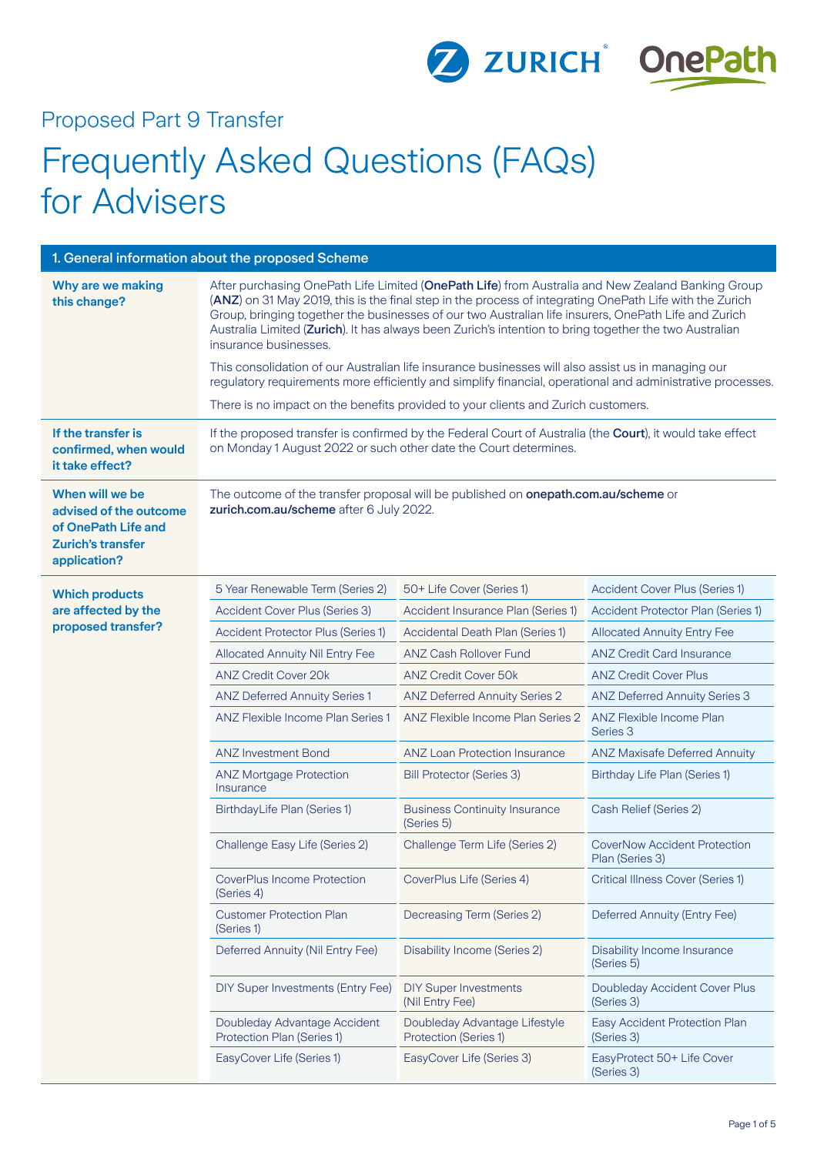

## Proposed Part 9 Transfer

# Frequently Asked Questions (FAQs) for Advisers

| 1. General information about the proposed Scheme                                                             |                                                                                                                                                                                                                                                                                                                                                                                                                                                                                                                                                                                                                                                                                                                                                                  |                                                                                           |                                                        |  |
|--------------------------------------------------------------------------------------------------------------|------------------------------------------------------------------------------------------------------------------------------------------------------------------------------------------------------------------------------------------------------------------------------------------------------------------------------------------------------------------------------------------------------------------------------------------------------------------------------------------------------------------------------------------------------------------------------------------------------------------------------------------------------------------------------------------------------------------------------------------------------------------|-------------------------------------------------------------------------------------------|--------------------------------------------------------|--|
| Why are we making<br>this change?                                                                            | After purchasing OnePath Life Limited (OnePath Life) from Australia and New Zealand Banking Group<br>(ANZ) on 31 May 2019, this is the final step in the process of integrating OnePath Life with the Zurich<br>Group, bringing together the businesses of our two Australian life insurers, OnePath Life and Zurich<br>Australia Limited (Zurich). It has always been Zurich's intention to bring together the two Australian<br>insurance businesses.<br>This consolidation of our Australian life insurance businesses will also assist us in managing our<br>regulatory requirements more efficiently and simplify financial, operational and administrative processes.<br>There is no impact on the benefits provided to your clients and Zurich customers. |                                                                                           |                                                        |  |
| If the transfer is<br>confirmed, when would<br>it take effect?                                               | If the proposed transfer is confirmed by the Federal Court of Australia (the Court), it would take effect<br>on Monday 1 August 2022 or such other date the Court determines.                                                                                                                                                                                                                                                                                                                                                                                                                                                                                                                                                                                    |                                                                                           |                                                        |  |
| When will we be<br>advised of the outcome<br>of OnePath Life and<br><b>Zurich's transfer</b><br>application? | zurich.com.au/scheme after 6 July 2022.                                                                                                                                                                                                                                                                                                                                                                                                                                                                                                                                                                                                                                                                                                                          | The outcome of the transfer proposal will be published on <b>onepath.com.au/scheme</b> or |                                                        |  |
| <b>Which products</b>                                                                                        | 5 Year Renewable Term (Series 2)                                                                                                                                                                                                                                                                                                                                                                                                                                                                                                                                                                                                                                                                                                                                 | 50+ Life Cover (Series 1)                                                                 | Accident Cover Plus (Series 1)                         |  |
| are affected by the                                                                                          | Accident Cover Plus (Series 3)                                                                                                                                                                                                                                                                                                                                                                                                                                                                                                                                                                                                                                                                                                                                   | Accident Insurance Plan (Series 1)                                                        | Accident Protector Plan (Series 1)                     |  |
| proposed transfer?                                                                                           | <b>Accident Protector Plus (Series 1)</b>                                                                                                                                                                                                                                                                                                                                                                                                                                                                                                                                                                                                                                                                                                                        | Accidental Death Plan (Series 1)                                                          | <b>Allocated Annuity Entry Fee</b>                     |  |
|                                                                                                              | Allocated Annuity Nil Entry Fee                                                                                                                                                                                                                                                                                                                                                                                                                                                                                                                                                                                                                                                                                                                                  | <b>ANZ Cash Rollover Fund</b>                                                             | <b>ANZ Credit Card Insurance</b>                       |  |
|                                                                                                              | <b>ANZ Credit Cover 20k</b>                                                                                                                                                                                                                                                                                                                                                                                                                                                                                                                                                                                                                                                                                                                                      | <b>ANZ Credit Cover 50k</b>                                                               | <b>ANZ Credit Cover Plus</b>                           |  |
|                                                                                                              | <b>ANZ Deferred Annuity Series 1</b>                                                                                                                                                                                                                                                                                                                                                                                                                                                                                                                                                                                                                                                                                                                             | <b>ANZ Deferred Annuity Series 2</b>                                                      | <b>ANZ Deferred Annuity Series 3</b>                   |  |
|                                                                                                              | ANZ Flexible Income Plan Series 1                                                                                                                                                                                                                                                                                                                                                                                                                                                                                                                                                                                                                                                                                                                                | ANZ Flexible Income Plan Series 2                                                         | ANZ Flexible Income Plan<br>Series 3                   |  |
|                                                                                                              | <b>ANZ Investment Bond</b>                                                                                                                                                                                                                                                                                                                                                                                                                                                                                                                                                                                                                                                                                                                                       | <b>ANZ Loan Protection Insurance</b>                                                      | <b>ANZ Maxisafe Deferred Annuity</b>                   |  |
|                                                                                                              | <b>ANZ Mortgage Protection</b><br>Insurance                                                                                                                                                                                                                                                                                                                                                                                                                                                                                                                                                                                                                                                                                                                      | <b>Bill Protector (Series 3)</b>                                                          | Birthday Life Plan (Series 1)                          |  |
|                                                                                                              | BirthdayLife Plan (Series 1)                                                                                                                                                                                                                                                                                                                                                                                                                                                                                                                                                                                                                                                                                                                                     | <b>Business Continuity Insurance</b><br>(Series 5)                                        | Cash Relief (Series 2)                                 |  |
|                                                                                                              | Challenge Easy Life (Series 2)                                                                                                                                                                                                                                                                                                                                                                                                                                                                                                                                                                                                                                                                                                                                   | Challenge Term Life (Series 2)                                                            | <b>CoverNow Accident Protection</b><br>Plan (Series 3) |  |
|                                                                                                              | <b>CoverPlus Income Protection</b><br>(Series 4)                                                                                                                                                                                                                                                                                                                                                                                                                                                                                                                                                                                                                                                                                                                 | CoverPlus Life (Series 4)                                                                 | <b>Critical Illness Cover (Series 1)</b>               |  |
|                                                                                                              | <b>Customer Protection Plan</b><br>(Series 1)                                                                                                                                                                                                                                                                                                                                                                                                                                                                                                                                                                                                                                                                                                                    | Decreasing Term (Series 2)                                                                | Deferred Annuity (Entry Fee)                           |  |
|                                                                                                              | Deferred Annuity (Nil Entry Fee)                                                                                                                                                                                                                                                                                                                                                                                                                                                                                                                                                                                                                                                                                                                                 | Disability Income (Series 2)                                                              | Disability Income Insurance<br>(Series 5)              |  |
|                                                                                                              | DIY Super Investments (Entry Fee)                                                                                                                                                                                                                                                                                                                                                                                                                                                                                                                                                                                                                                                                                                                                | <b>DIY Super Investments</b><br>(Nil Entry Fee)                                           | Doubleday Accident Cover Plus<br>(Series 3)            |  |
|                                                                                                              | Doubleday Advantage Accident<br>Protection Plan (Series 1)                                                                                                                                                                                                                                                                                                                                                                                                                                                                                                                                                                                                                                                                                                       | Doubleday Advantage Lifestyle<br><b>Protection (Series 1)</b>                             | Easy Accident Protection Plan<br>(Series 3)            |  |
|                                                                                                              | EasyCover Life (Series 1)                                                                                                                                                                                                                                                                                                                                                                                                                                                                                                                                                                                                                                                                                                                                        | EasyCover Life (Series 3)                                                                 | EasyProtect 50+ Life Cover<br>(Series 3)               |  |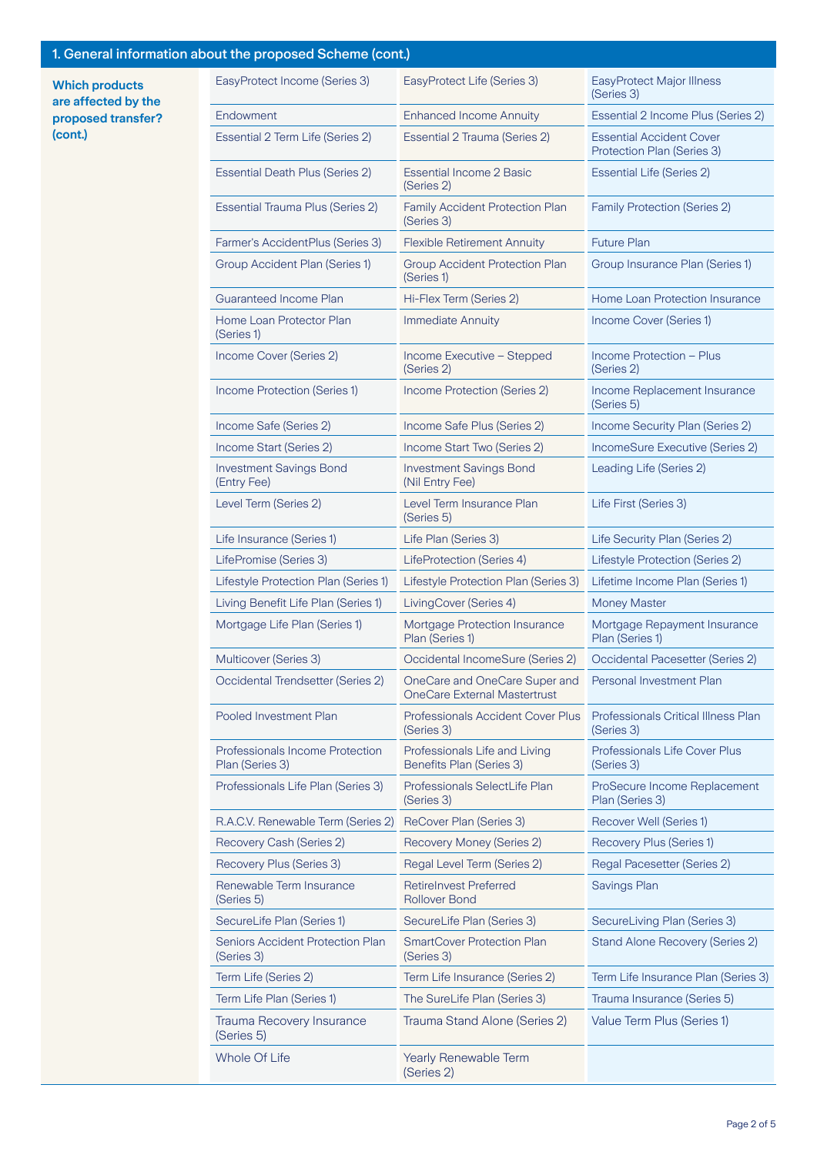## 1. General information about the proposed Scheme (cont.)

**Which products are affected by the proposed transfer? (cont.)**

| at the proposed conome (com,                              |                                                                      |                                                               |
|-----------------------------------------------------------|----------------------------------------------------------------------|---------------------------------------------------------------|
| EasyProtect Income (Series 3)                             | EasyProtect Life (Series 3)                                          | EasyProtect Major Illness<br>(Series 3)                       |
| Endowment                                                 | <b>Enhanced Income Annuity</b>                                       | Essential 2 Income Plus (Series 2)                            |
| Essential 2 Term Life (Series 2)                          | Essential 2 Trauma (Series 2)                                        | <b>Essential Accident Cover</b><br>Protection Plan (Series 3) |
| <b>Essential Death Plus (Series 2)</b>                    | <b>Essential Income 2 Basic</b><br>(Series 2)                        | <b>Essential Life (Series 2)</b>                              |
| Essential Trauma Plus (Series 2)                          | Family Accident Protection Plan<br>(Series 3)                        | <b>Family Protection (Series 2)</b>                           |
| Farmer's AccidentPlus (Series 3)                          | <b>Flexible Retirement Annuity</b>                                   | <b>Future Plan</b>                                            |
| Group Accident Plan (Series 1)                            | <b>Group Accident Protection Plan</b><br>(Series 1)                  | Group Insurance Plan (Series 1)                               |
| <b>Guaranteed Income Plan</b>                             | Hi-Flex Term (Series 2)                                              | <b>Home Loan Protection Insurance</b>                         |
| Home Loan Protector Plan<br>(Series 1)                    | <b>Immediate Annuity</b>                                             | Income Cover (Series 1)                                       |
| Income Cover (Series 2)                                   | Income Executive - Stepped<br>(Series 2)                             | Income Protection - Plus<br>(Series 2)                        |
| Income Protection (Series 1)                              | Income Protection (Series 2)                                         | Income Replacement Insurance<br>(Series 5)                    |
| Income Safe (Series 2)                                    | Income Safe Plus (Series 2)                                          | Income Security Plan (Series 2)                               |
| Income Start (Series 2)                                   | Income Start Two (Series 2)                                          | IncomeSure Executive (Series 2)                               |
| <b>Investment Savings Bond</b><br>(Entry Fee)             | <b>Investment Savings Bond</b><br>(Nil Entry Fee)                    | Leading Life (Series 2)                                       |
| Level Term (Series 2)                                     | Level Term Insurance Plan<br>(Series 5)                              | Life First (Series 3)                                         |
| Life Insurance (Series 1)                                 | Life Plan (Series 3)                                                 | Life Security Plan (Series 2)                                 |
| LifePromise (Series 3)                                    | LifeProtection (Series 4)                                            | Lifestyle Protection (Series 2)                               |
| Lifestyle Protection Plan (Series 1)                      | Lifestyle Protection Plan (Series 3)                                 | Lifetime Income Plan (Series 1)                               |
| Living Benefit Life Plan (Series 1)                       | LivingCover (Series 4)                                               | <b>Money Master</b>                                           |
| Mortgage Life Plan (Series 1)                             | Mortgage Protection Insurance<br>Plan (Series 1)                     | Mortgage Repayment Insurance<br>Plan (Series 1)               |
| Multicover (Series 3)                                     | Occidental IncomeSure (Series 2)                                     | Occidental Pacesetter (Series 2)                              |
| Occidental Trendsetter (Series 2)                         | OneCare and OneCare Super and<br><b>OneCare External Mastertrust</b> | <b>Personal Investment Plan</b>                               |
| Pooled Investment Plan                                    | Professionals Accident Cover Plus<br>(Series 3)                      | <b>Professionals Critical Illness Plan</b><br>(Series 3)      |
| <b>Professionals Income Protection</b><br>Plan (Series 3) | Professionals Life and Living<br>Benefits Plan (Series 3)            | Professionals Life Cover Plus<br>(Series 3)                   |
| Professionals Life Plan (Series 3)                        | Professionals SelectLife Plan<br>(Series 3)                          | ProSecure Income Replacement<br>Plan (Series 3)               |
| R.A.C.V. Renewable Term (Series 2)                        | ReCover Plan (Series 3)                                              | Recover Well (Series 1)                                       |
| Recovery Cash (Series 2)                                  | Recovery Money (Series 2)                                            | Recovery Plus (Series 1)                                      |
| Recovery Plus (Series 3)                                  | Regal Level Term (Series 2)                                          | Regal Pacesetter (Series 2)                                   |
| Renewable Term Insurance<br>(Series 5)                    | <b>RetireInvest Preferred</b><br><b>Rollover Bond</b>                | Savings Plan                                                  |
| SecureLife Plan (Series 1)                                | SecureLife Plan (Series 3)                                           | SecureLiving Plan (Series 3)                                  |
| <b>Seniors Accident Protection Plan</b><br>(Series 3)     | <b>SmartCover Protection Plan</b><br>(Series 3)                      | Stand Alone Recovery (Series 2)                               |
| Term Life (Series 2)                                      | Term Life Insurance (Series 2)                                       | Term Life Insurance Plan (Series 3)                           |
| Term Life Plan (Series 1)                                 | The SureLife Plan (Series 3)                                         | Trauma Insurance (Series 5)                                   |
| Trauma Recovery Insurance<br>(Series 5)                   | Trauma Stand Alone (Series 2)                                        | Value Term Plus (Series 1)                                    |
| <b>Whole Of Life</b>                                      | Yearly Renewable Term<br>(Series 2)                                  |                                                               |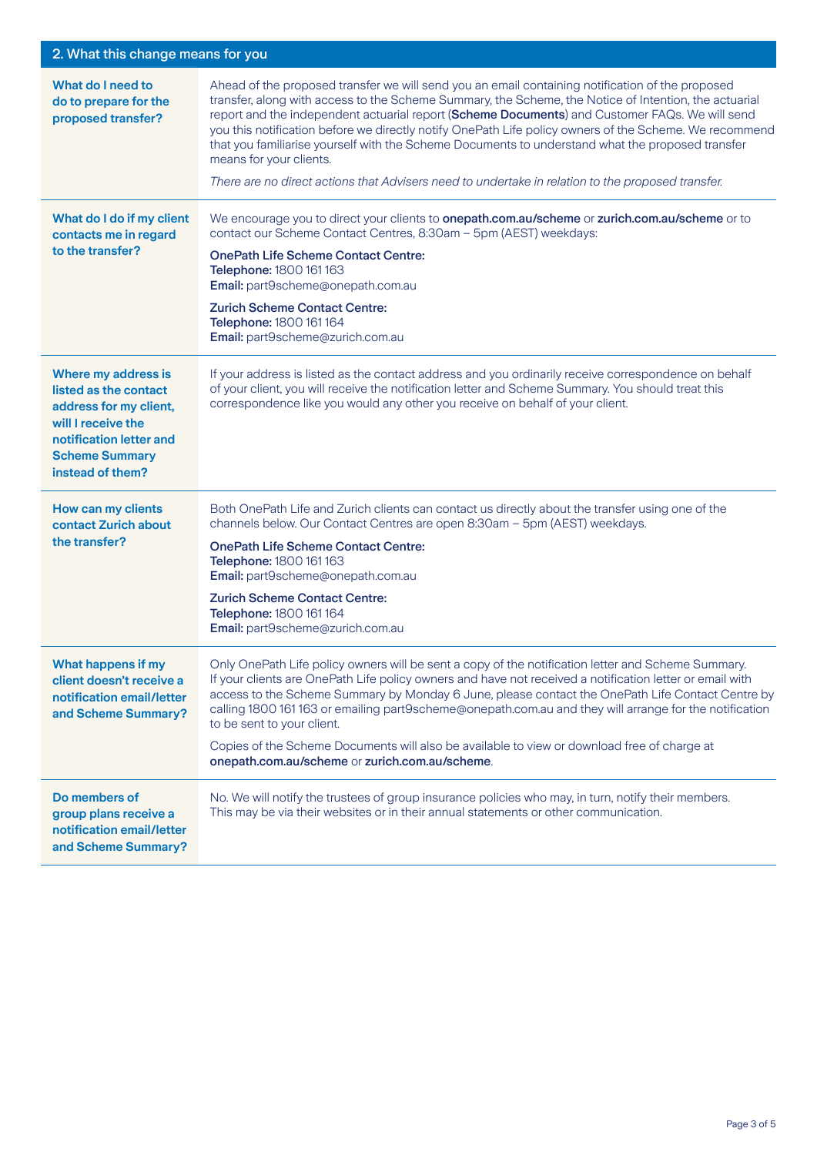### 2. What this change means for you

| What do I need to<br>do to prepare for the<br>proposed transfer?                                                                                                     | Ahead of the proposed transfer we will send you an email containing notification of the proposed<br>transfer, along with access to the Scheme Summary, the Scheme, the Notice of Intention, the actuarial<br>report and the independent actuarial report (Scheme Documents) and Customer FAQs. We will send<br>you this notification before we directly notify OnePath Life policy owners of the Scheme. We recommend<br>that you familiarise yourself with the Scheme Documents to understand what the proposed transfer<br>means for your clients.<br>There are no direct actions that Advisers need to undertake in relation to the proposed transfer. |
|----------------------------------------------------------------------------------------------------------------------------------------------------------------------|-----------------------------------------------------------------------------------------------------------------------------------------------------------------------------------------------------------------------------------------------------------------------------------------------------------------------------------------------------------------------------------------------------------------------------------------------------------------------------------------------------------------------------------------------------------------------------------------------------------------------------------------------------------|
| What do I do if my client<br>contacts me in regard<br>to the transfer?                                                                                               | We encourage you to direct your clients to onepath.com.au/scheme or zurich.com.au/scheme or to<br>contact our Scheme Contact Centres, 8:30am - 5pm (AEST) weekdays:<br><b>OnePath Life Scheme Contact Centre:</b><br>Telephone: 1800 161 163<br>Email: part9scheme@onepath.com.au<br><b>Zurich Scheme Contact Centre:</b><br>Telephone: 1800 161 164<br>Email: part9scheme@zurich.com.au                                                                                                                                                                                                                                                                  |
| Where my address is<br>listed as the contact<br>address for my client,<br>will I receive the<br>notification letter and<br><b>Scheme Summary</b><br>instead of them? | If your address is listed as the contact address and you ordinarily receive correspondence on behalf<br>of your client, you will receive the notification letter and Scheme Summary. You should treat this<br>correspondence like you would any other you receive on behalf of your client.                                                                                                                                                                                                                                                                                                                                                               |
| How can my clients<br>contact Zurich about<br>the transfer?                                                                                                          | Both OnePath Life and Zurich clients can contact us directly about the transfer using one of the<br>channels below. Our Contact Centres are open 8:30am - 5pm (AEST) weekdays.<br><b>OnePath Life Scheme Contact Centre:</b><br>Telephone: 1800 161 163<br>Email: part9scheme@onepath.com.au<br><b>Zurich Scheme Contact Centre:</b><br>Telephone: 1800 161 164<br>Email: part9scheme@zurich.com.au                                                                                                                                                                                                                                                       |
| What happens if my<br>client doesn't receive a<br>notification email/letter<br>and Scheme Summary?                                                                   | Only OnePath Life policy owners will be sent a copy of the notification letter and Scheme Summary.<br>If your clients are OnePath Life policy owners and have not received a notification letter or email with<br>access to the Scheme Summary by Monday 6 June, please contact the OnePath Life Contact Centre by<br>calling 1800 161 163 or emailing part9scheme@onepath.com.au and they will arrange for the notification<br>to be sent to your client.<br>Copies of the Scheme Documents will also be available to view or download free of charge at<br>onepath.com.au/scheme or zurich.com.au/scheme.                                               |
| Do members of<br>group plans receive a<br>notification email/letter<br>and Scheme Summary?                                                                           | No. We will notify the trustees of group insurance policies who may, in turn, notify their members.<br>This may be via their websites or in their annual statements or other communication.                                                                                                                                                                                                                                                                                                                                                                                                                                                               |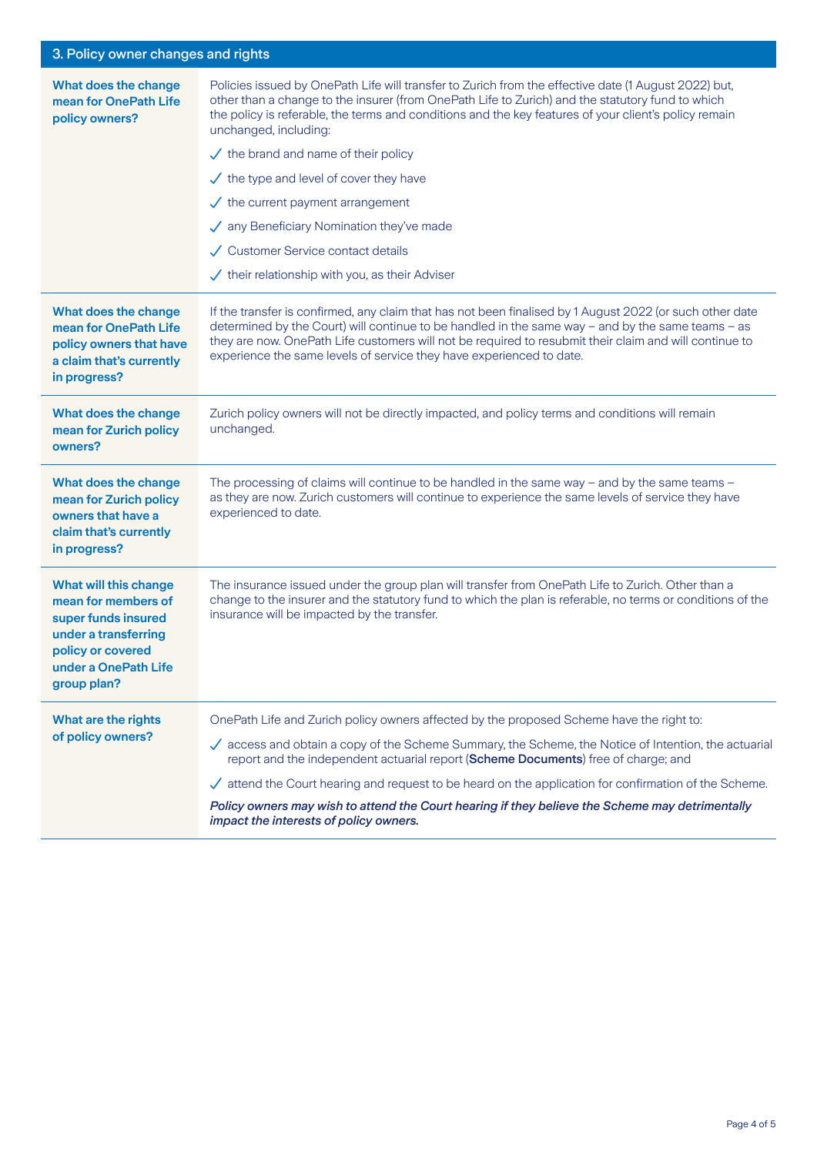### 3. Policy owner changes and rights

| What does the change<br>mean for OnePath Life<br>policy owners?                                                                                                | Policies issued by OnePath Life will transfer to Zurich from the effective date (1 August 2022) but,<br>other than a change to the insurer (from OnePath Life to Zurich) and the statutory fund to which<br>the policy is referable, the terms and conditions and the key features of your client's policy remain<br>unchanged, including:<br>$\checkmark$ the brand and name of their policy<br>$\checkmark$ the type and level of cover they have<br>$\checkmark$ the current payment arrangement<br>$\sqrt{\phantom{a}}$ any Beneficiary Nomination they've made<br>Customer Service contact details<br>$\checkmark$ their relationship with you, as their Adviser |  |
|----------------------------------------------------------------------------------------------------------------------------------------------------------------|-----------------------------------------------------------------------------------------------------------------------------------------------------------------------------------------------------------------------------------------------------------------------------------------------------------------------------------------------------------------------------------------------------------------------------------------------------------------------------------------------------------------------------------------------------------------------------------------------------------------------------------------------------------------------|--|
| What does the change<br>mean for OnePath Life<br>policy owners that have<br>a claim that's currently<br>in progress?                                           | If the transfer is confirmed, any claim that has not been finalised by 1 August 2022 (or such other date<br>determined by the Court) will continue to be handled in the same way - and by the same teams - as<br>they are now. OnePath Life customers will not be required to resubmit their claim and will continue to<br>experience the same levels of service they have experienced to date.                                                                                                                                                                                                                                                                       |  |
| What does the change<br>mean for Zurich policy<br>owners?                                                                                                      | Zurich policy owners will not be directly impacted, and policy terms and conditions will remain<br>unchanged.                                                                                                                                                                                                                                                                                                                                                                                                                                                                                                                                                         |  |
| What does the change<br>mean for Zurich policy<br>owners that have a<br>claim that's currently<br>in progress?                                                 | The processing of claims will continue to be handled in the same way - and by the same teams -<br>as they are now. Zurich customers will continue to experience the same levels of service they have<br>experienced to date.                                                                                                                                                                                                                                                                                                                                                                                                                                          |  |
| <b>What will this change</b><br>mean for members of<br>super funds insured<br>under a transferring<br>policy or covered<br>under a OnePath Life<br>group plan? | The insurance issued under the group plan will transfer from OnePath Life to Zurich. Other than a<br>change to the insurer and the statutory fund to which the plan is referable, no terms or conditions of the<br>insurance will be impacted by the transfer.                                                                                                                                                                                                                                                                                                                                                                                                        |  |
| What are the rights                                                                                                                                            | OnePath Life and Zurich policy owners affected by the proposed Scheme have the right to:                                                                                                                                                                                                                                                                                                                                                                                                                                                                                                                                                                              |  |
| of policy owners?                                                                                                                                              | access and obtain a copy of the Scheme Summary, the Scheme, the Notice of Intention, the actuarial<br>report and the independent actuarial report (Scheme Documents) free of charge; and                                                                                                                                                                                                                                                                                                                                                                                                                                                                              |  |
|                                                                                                                                                                | $\checkmark$ attend the Court hearing and request to be heard on the application for confirmation of the Scheme.                                                                                                                                                                                                                                                                                                                                                                                                                                                                                                                                                      |  |
|                                                                                                                                                                | Policy owners may wish to attend the Court hearing if they believe the Scheme may detrimentally<br>impact the interests of policy owners.                                                                                                                                                                                                                                                                                                                                                                                                                                                                                                                             |  |